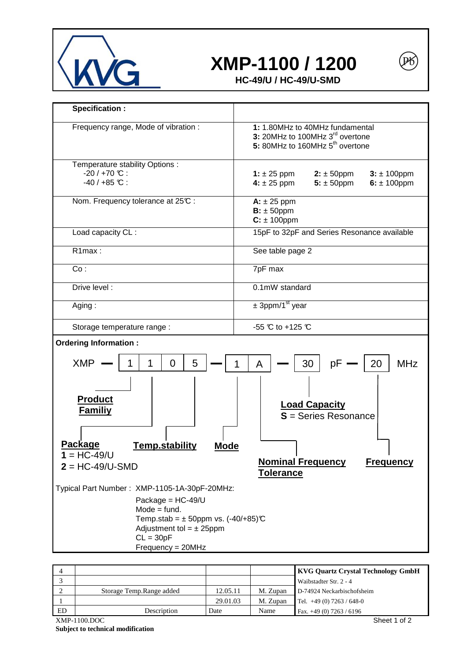

## **XMP-1100 / 1200**

 $\left[ \mathbb{P}\right]$ 

**HC-49/U / HC-49/U-SMD** 

| Specification :                                                                                                                                                                                                                                   |                                                                                                                                                  |  |  |
|---------------------------------------------------------------------------------------------------------------------------------------------------------------------------------------------------------------------------------------------------|--------------------------------------------------------------------------------------------------------------------------------------------------|--|--|
| Frequency range, Mode of vibration :                                                                                                                                                                                                              | 1: 1.80MHz to 40MHz fundamental<br>3: 20MHz to 100MHz 3 <sup>rd</sup> overtone<br>5: 80MHz to 160MHz 5 <sup>th</sup> overtone                    |  |  |
| Temperature stability Options :<br>$-20/+70$ °C :<br>$-40/+85$ °C :                                                                                                                                                                               | $2: \pm 50$ ppm<br>$3: \pm 100$ ppm<br>1: $\pm 25$ ppm<br>4: $\pm 25$ ppm<br>$6: \pm 100$ ppm<br>$5: \pm 50$ ppm                                 |  |  |
| Nom. Frequency tolerance at 25°C :                                                                                                                                                                                                                | $A: \pm 25$ ppm<br>$B: \pm 50$ ppm<br>$C: \pm 100$ ppm                                                                                           |  |  |
| Load capacity CL :                                                                                                                                                                                                                                | 15pF to 32pF and Series Resonance available                                                                                                      |  |  |
| R1max:                                                                                                                                                                                                                                            | See table page 2                                                                                                                                 |  |  |
| Co:                                                                                                                                                                                                                                               | 7pF max                                                                                                                                          |  |  |
| Drive level :                                                                                                                                                                                                                                     | 0.1mW standard                                                                                                                                   |  |  |
| Aging:                                                                                                                                                                                                                                            | $\pm$ 3ppm/1 <sup>st</sup> year                                                                                                                  |  |  |
| Storage temperature range :                                                                                                                                                                                                                       | $-55$ °C to $+125$ °C                                                                                                                            |  |  |
| <b>Ordering Information:</b>                                                                                                                                                                                                                      |                                                                                                                                                  |  |  |
| 5<br><b>XMP</b><br>$\overline{0}$<br>1<br><b>Product</b><br><u>Familiy</u><br><u>Package</u><br><b>Temp.stability</b><br><b>Mode</b><br>$1 = HC-49/U$<br>$2 = HC-49/U-SMD$<br>Typical Part Number: XMP-1105-1A-30pF-20MHz:<br>Package = $HC-49/U$ | <b>MHz</b><br>30<br>рF<br>20<br>A<br><b>Load Capacity</b><br>$S =$ Series Resonance<br><b>Nominal Frequency</b><br><b>Frequency</b><br>Tolerance |  |  |
| $Mode = fund.$<br>Temp.stab = $\pm$ 50ppm vs. (-40/+85)°C<br>Adjustment tol = $\pm$ 25ppm<br>$CL = 30pF$<br>Frequency = 20MHz                                                                                                                     |                                                                                                                                                  |  |  |

| $\overline{4}$ |                           |          |          | <b>KVG Quartz Crystal Technology GmbH</b> |
|----------------|---------------------------|----------|----------|-------------------------------------------|
|                |                           |          |          | Waibstadter Str. 2 - 4                    |
|                | Storage Temp. Range added | 12.05.11 | M. Zupan | D-74924 Neckarbischofsheim                |
|                |                           | 29.01.03 | M. Zupan | Tel. $+49(0)$ 7263 / 648-0                |
| ED.            | Description               | Date     | Name     | Fax. $+49(0)$ 7263 / 6196                 |
|                | $XMP-1100.DOC$            |          |          | Sheet 1 of 2                              |